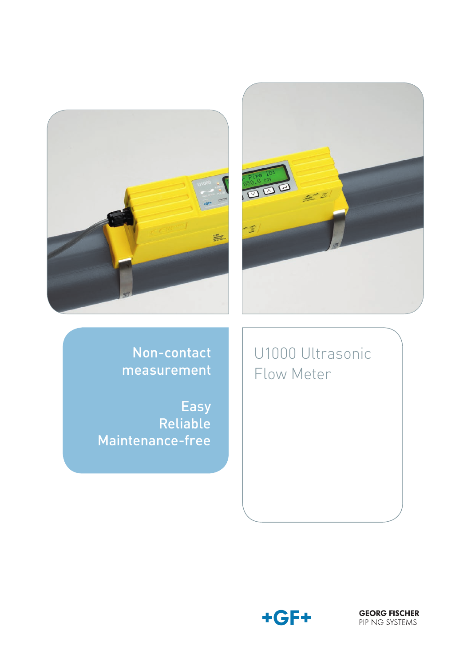



Non-contact measurement

Easy Reliable Maintenance-free

U1000 Ultrasonic Flow Meter



**GEORG FISCHER**<br>PIPING SYSTEMS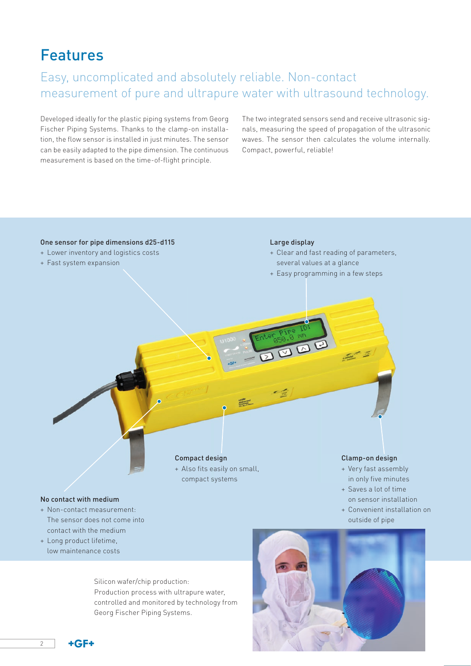## Features

### Easy, uncomplicated and absolutely reliable. Non-contact measurement of pure and ultrapure water with ultrasound technology.

Developed ideally for the plastic piping systems from Georg Fischer Piping Systems. Thanks to the clamp-on installation, the flow sensor is installed in just minutes. The sensor can be easily adapted to the pipe dimension. The continuous measurement is based on the time-of-flight principle.

The two integrated sensors send and receive ultrasonic signals, measuring the speed of propagation of the ultrasonic waves. The sensor then calculates the volume internally. Compact, powerful, reliable!



Silicon wafer/chip production: Production process with ultrapure water, controlled and monitored by technology from Georg Fischer Piping Systems.



 $+GF+$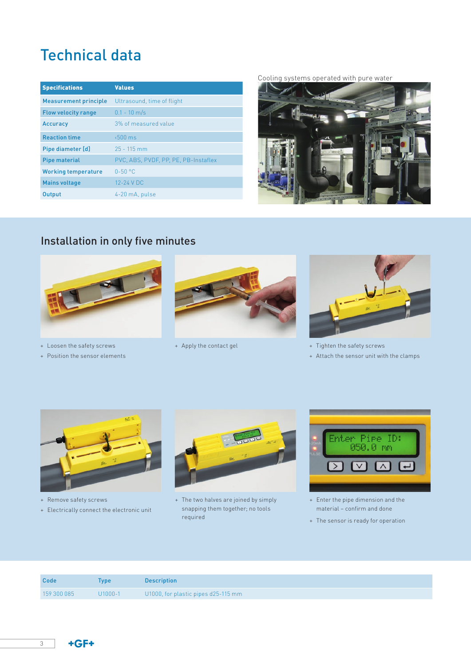# Technical data

| <b>Specifications</b>        | <b>Values</b>                        |
|------------------------------|--------------------------------------|
| <b>Measurement principle</b> | Ultrasound, time of flight           |
| <b>Flow velocity range</b>   | $0.1 - 10$ m/s                       |
| <b>Accuracy</b>              | 3% of measured value                 |
| <b>Reaction time</b>         | $500 \text{ ms}$                     |
| Pipe diameter [d]            | $25 - 115$ mm                        |
| <b>Pipe material</b>         | PVC, ABS, PVDF, PP, PE, PB-Instaflex |
| <b>Working temperature</b>   | $0 - 50 °C$                          |
| <b>Mains voltage</b>         | 12-24 V DC                           |
| <b>Output</b>                | 4-20 mA, pulse                       |





## Installation in only five minutes



+ Loosen the safety screws

+ Position the sensor elements





+ Apply the contact gel  $+$  Tighten the safety screws

+ Attach the sensor unit with the clamps



- + Remove safety screws
- + Electrically connect the electronic unit



+ The two halves are joined by simply snapping them together; no tools required



- + Enter the pipe dimension and the material – confirm and done
- + The sensor is ready for operation

| Code        | Tvpe        | <b>Description</b>                  |
|-------------|-------------|-------------------------------------|
| 159 300 085 | $U1000 - 1$ | U1000, for plastic pipes d25-115 mm |